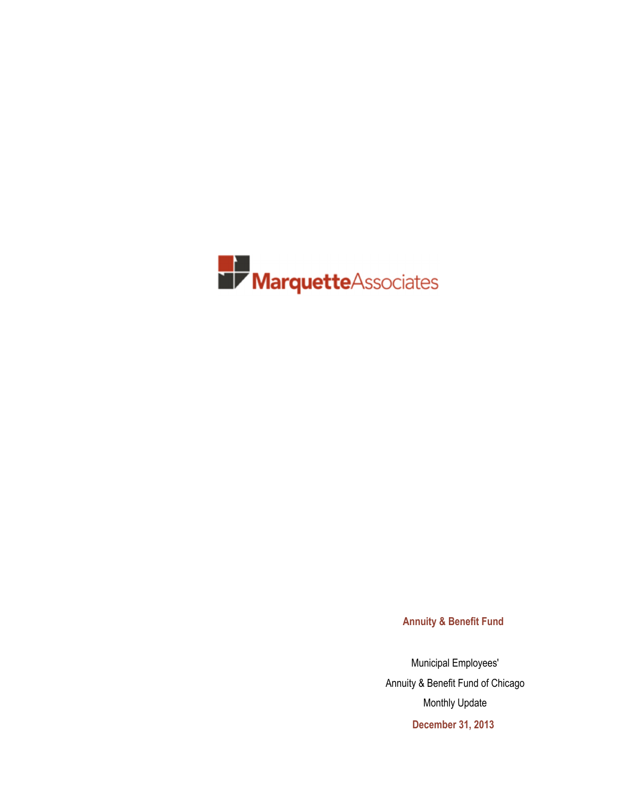

**Annuity & Benefit Fund**

Municipal Employees' Annuity & Benefit Fund of Chicago Monthly Update **December 31, 2013**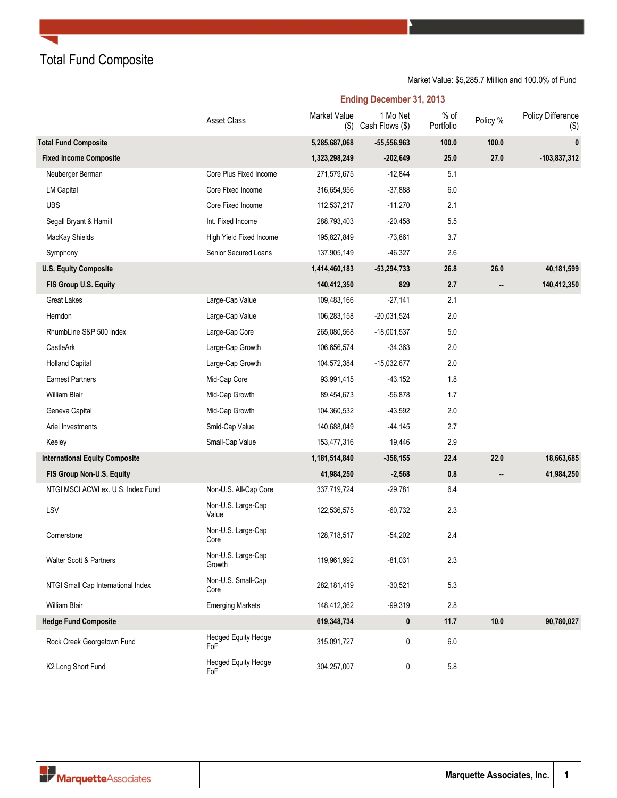Total Fund Composite

### Market Value: \$5,285.7 Million and 100.0% of Fund

**Ending December 31, 2013**

|                                       | <b>Asset Class</b>                | Market Value<br>$($ \$) | 1 Mo Net<br>Cash Flows (\$) | % of<br>Portfolio | Policy % | Policy Difference<br>$(\$)$ |
|---------------------------------------|-----------------------------------|-------------------------|-----------------------------|-------------------|----------|-----------------------------|
| <b>Total Fund Composite</b>           |                                   | 5,285,687,068           | $-55,556,963$               | 100.0             | 100.0    | $\pmb{0}$                   |
| <b>Fixed Income Composite</b>         |                                   | 1,323,298,249           | $-202,649$                  | 25.0              | 27.0     | -103,837,312                |
| Neuberger Berman                      | Core Plus Fixed Income            | 271,579,675             | $-12,844$                   | 5.1               |          |                             |
| <b>LM Capital</b>                     | Core Fixed Income                 | 316,654,956             | $-37,888$                   | 6.0               |          |                             |
| <b>UBS</b>                            | Core Fixed Income                 | 112,537,217             | $-11,270$                   | 2.1               |          |                             |
| Segall Bryant & Hamill                | Int. Fixed Income                 | 288,793,403             | $-20,458$                   | 5.5               |          |                             |
| MacKay Shields                        | High Yield Fixed Income           | 195,827,849             | $-73,861$                   | 3.7               |          |                             |
| Symphony                              | Senior Secured Loans              | 137,905,149             | $-46,327$                   | 2.6               |          |                             |
| <b>U.S. Equity Composite</b>          |                                   | 1,414,460,183           | $-53,294,733$               | 26.8              | 26.0     | 40,181,599                  |
| FIS Group U.S. Equity                 |                                   | 140,412,350             | 829                         | 2.7               |          | 140,412,350                 |
| Great Lakes                           | Large-Cap Value                   | 109,483,166             | $-27,141$                   | 2.1               |          |                             |
| Herndon                               | Large-Cap Value                   | 106,283,158             | $-20,031,524$               | 2.0               |          |                             |
| RhumbLine S&P 500 Index               | Large-Cap Core                    | 265,080,568             | $-18,001,537$               | 5.0               |          |                             |
| CastleArk                             | Large-Cap Growth                  | 106,656,574             | $-34,363$                   | 2.0               |          |                             |
| <b>Holland Capital</b>                | Large-Cap Growth                  | 104,572,384             | $-15,032,677$               | 2.0               |          |                             |
| <b>Earnest Partners</b>               | Mid-Cap Core                      | 93,991,415              | $-43,152$                   | 1.8               |          |                             |
| William Blair                         | Mid-Cap Growth                    | 89,454,673              | $-56,878$                   | 1.7               |          |                             |
| Geneva Capital                        | Mid-Cap Growth                    | 104,360,532             | $-43,592$                   | 2.0               |          |                             |
| Ariel Investments                     | Smid-Cap Value                    | 140,688,049             | $-44,145$                   | 2.7               |          |                             |
| Keeley                                | Small-Cap Value                   | 153,477,316             | 19,446                      | 2.9               |          |                             |
| <b>International Equity Composite</b> |                                   | 1,181,514,840           | $-358, 155$                 | 22.4              | 22.0     | 18,663,685                  |
| FIS Group Non-U.S. Equity             |                                   | 41,984,250              | $-2,568$                    | 0.8               |          | 41,984,250                  |
| NTGI MSCI ACWI ex. U.S. Index Fund    | Non-U.S. All-Cap Core             | 337,719,724             | $-29,781$                   | 6.4               |          |                             |
| LSV                                   | Non-U.S. Large-Cap<br>Value       | 122,536,575             | $-60,732$                   | 2.3               |          |                             |
| Cornerstone                           | Non-U.S. Large-Cap<br>Core        | 128,718,517             | $-54,202$                   | 2.4               |          |                             |
| Walter Scott & Partners               | Non-U.S. Large-Cap<br>Growth      | 119,961,992             | $-81,031$                   | 2.3               |          |                             |
| NTGI Small Cap International Index    | Non-U.S. Small-Cap<br>Core        | 282,181,419             | $-30,521$                   | 5.3               |          |                             |
| <b>William Blair</b>                  | <b>Emerging Markets</b>           | 148,412,362             | $-99,319$                   | 2.8               |          |                             |
| <b>Hedge Fund Composite</b>           |                                   | 619,348,734             | 0                           | 11.7              | 10.0     | 90,780,027                  |
| Rock Creek Georgetown Fund            | <b>Hedged Equity Hedge</b><br>FoF | 315,091,727             | 0                           | 6.0               |          |                             |
| K2 Long Short Fund                    | <b>Hedged Equity Hedge</b><br>FoF | 304,257,007             | 0                           | 5.8               |          |                             |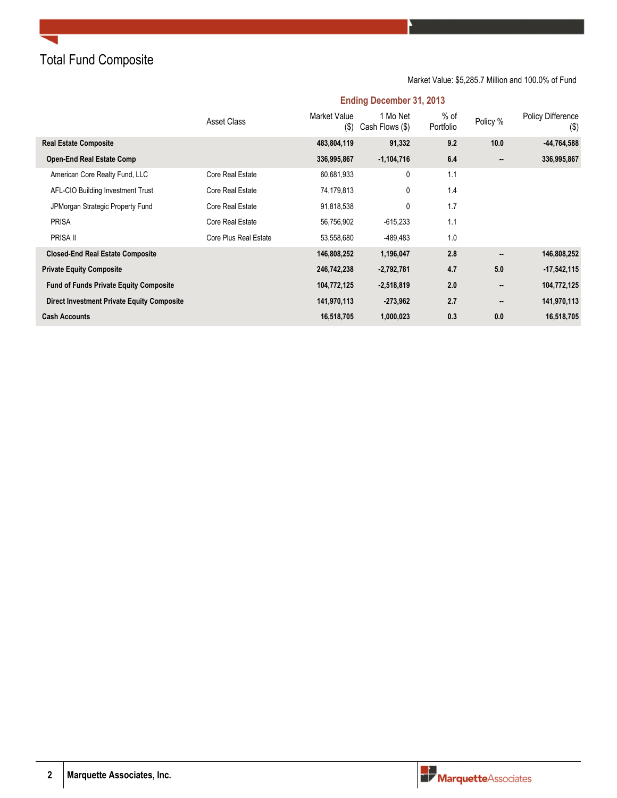Total Fund Composite

Market Value: \$5,285.7 Million and 100.0% of Fund

|                                                   | Asset Class           | <b>Market Value</b><br>(3) | 1 Mo Net<br>Cash Flows (\$) | % of<br>Portfolio | Policy % | <b>Policy Difference</b><br>$(\$)$ |
|---------------------------------------------------|-----------------------|----------------------------|-----------------------------|-------------------|----------|------------------------------------|
| <b>Real Estate Composite</b>                      |                       | 483,804,119                | 91,332                      | 9.2               | 10.0     | -44,764,588                        |
| <b>Open-End Real Estate Comp</b>                  |                       | 336,995,867                | $-1,104,716$                | 6.4               |          | 336,995,867                        |
| American Core Realty Fund, LLC                    | Core Real Estate      | 60,681,933                 | 0                           | 1.1               |          |                                    |
| AFL-CIO Building Investment Trust                 | Core Real Estate      | 74,179,813                 | 0                           | 1.4               |          |                                    |
| JPMorgan Strategic Property Fund                  | Core Real Estate      | 91,818,538                 | 0                           | 1.7               |          |                                    |
| <b>PRISA</b>                                      | Core Real Estate      | 56,756,902                 | $-615,233$                  | 1.1               |          |                                    |
| PRISA II                                          | Core Plus Real Estate | 53,558,680                 | -489,483                    | 1.0               |          |                                    |
| <b>Closed-End Real Estate Composite</b>           |                       | 146,808,252                | 1,196,047                   | 2.8               |          | 146,808,252                        |
| <b>Private Equity Composite</b>                   |                       | 246,742,238                | $-2,792,781$                | 4.7               | 5.0      | $-17,542,115$                      |
| <b>Fund of Funds Private Equity Composite</b>     |                       | 104,772,125                | $-2,518,819$                | 2.0               |          | 104,772,125                        |
| <b>Direct Investment Private Equity Composite</b> |                       | 141,970,113                | $-273,962$                  | 2.7               |          | 141,970,113                        |
| <b>Cash Accounts</b>                              |                       | 16,518,705                 | 1,000,023                   | 0.3               | 0.0      | 16,518,705                         |

### **Ending December 31, 2013**

**2 Marquette Associates, Inc.**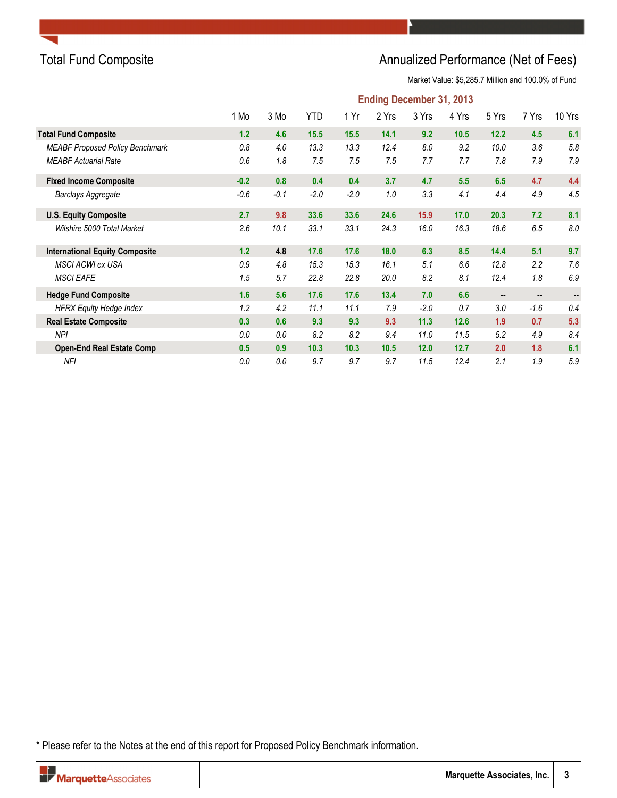

## Total Fund Composite **Annualized Performance (Net of Fees)** Annualized Performance (Net of Fees)

Market Value: \$5,285.7 Million and 100.0% of Fund

|                                        | <b>Ending December 31, 2013</b> |        |            |        |       |        |       |       |        |         |  |  |
|----------------------------------------|---------------------------------|--------|------------|--------|-------|--------|-------|-------|--------|---------|--|--|
|                                        | 1 Mo                            | 3 Mo   | <b>YTD</b> | 1 Yr   | 2 Yrs | 3 Yrs  | 4 Yrs | 5 Yrs | 7 Yrs  | 10 Yrs  |  |  |
| <b>Total Fund Composite</b>            | 1.2                             | 4.6    | 15.5       | 15.5   | 14.1  | 9.2    | 10.5  | 12.2  | 4.5    | 6.1     |  |  |
| <b>MEABF Proposed Policy Benchmark</b> | 0.8                             | 4.0    | 13.3       | 13.3   | 12.4  | 8.0    | 9.2   | 10.0  | 3.6    | 5.8     |  |  |
| <b>MEABF Actuarial Rate</b>            | 0.6                             | 1.8    | 7.5        | 7.5    | 7.5   | 7.7    | 7.7   | 7.8   | 7.9    | 7.9     |  |  |
| <b>Fixed Income Composite</b>          | $-0.2$                          | 0.8    | 0.4        | 0.4    | 3.7   | 4.7    | 5.5   | 6.5   | 4.7    | 4.4     |  |  |
| Barclays Aggregate                     | $-0.6$                          | $-0.1$ | $-2.0$     | $-2.0$ | 1.0   | 3.3    | 4.1   | 4.4   | 4.9    | 4.5     |  |  |
| <b>U.S. Equity Composite</b>           | 2.7                             | 9.8    | 33.6       | 33.6   | 24.6  | 15.9   | 17.0  | 20.3  | 7.2    | 8.1     |  |  |
| Wilshire 5000 Total Market             | 2.6                             | 10.1   | 33.1       | 33.1   | 24.3  | 16.0   | 16.3  | 18.6  | 6.5    | $8.0\,$ |  |  |
| <b>International Equity Composite</b>  | $1.2$                           | 4.8    | 17.6       | 17.6   | 18.0  | 6.3    | 8.5   | 14.4  | 5.1    | 9.7     |  |  |
| <b>MSCI ACWI ex USA</b>                | 0.9                             | 4.8    | 15.3       | 15.3   | 16.1  | 5.1    | 6.6   | 12.8  | 2.2    | 7.6     |  |  |
| <b>MSCI EAFE</b>                       | 1.5                             | 5.7    | 22.8       | 22.8   | 20.0  | 8.2    | 8.1   | 12.4  | 1.8    | 6.9     |  |  |
| <b>Hedge Fund Composite</b>            | 1.6                             | 5.6    | 17.6       | 17.6   | 13.4  | 7.0    | 6.6   |       |        |         |  |  |
| <b>HFRX Equity Hedge Index</b>         | 1.2                             | 4.2    | 11.1       | 11.1   | 7.9   | $-2.0$ | 0.7   | 3.0   | $-1.6$ | 0.4     |  |  |
| <b>Real Estate Composite</b>           | 0.3                             | 0.6    | 9.3        | 9.3    | 9.3   | 11.3   | 12.6  | 1.9   | 0.7    | 5.3     |  |  |
| NPI                                    | 0.0                             | 0.0    | 8.2        | 8.2    | 9.4   | 11.0   | 11.5  | 5.2   | 4.9    | 8.4     |  |  |
| <b>Open-End Real Estate Comp</b>       | 0.5                             | 0.9    | 10.3       | 10.3   | 10.5  | 12.0   | 12.7  | 2.0   | 1.8    | 6.1     |  |  |
| NFI                                    | 0.0                             | 0.0    | 9.7        | 9.7    | 9.7   | 11.5   | 12.4  | 2.1   | 1.9    | 5.9     |  |  |

\* Please refer to the Notes at the end of this report for Proposed Policy Benchmark information.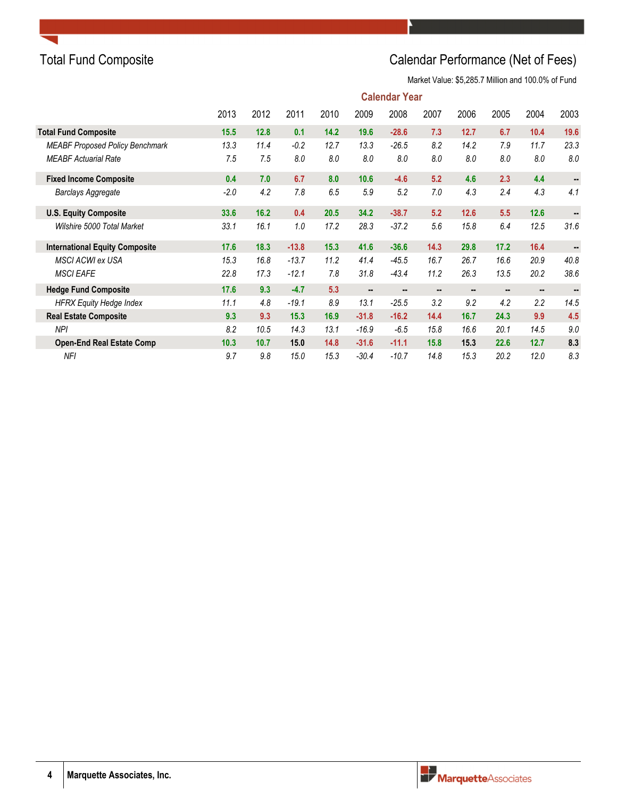## Total Fund Composite **Calendar Performance (Net of Fees)**

Market Value: \$5,285.7 Million and 100.0% of Fund

|                                        |        | <b>Calendar Year</b> |         |      |         |         |                |      |                |         |      |  |  |
|----------------------------------------|--------|----------------------|---------|------|---------|---------|----------------|------|----------------|---------|------|--|--|
|                                        | 2013   | 2012                 | 2011    | 2010 | 2009    | 2008    | 2007           | 2006 | 2005           | 2004    | 2003 |  |  |
| <b>Total Fund Composite</b>            | 15.5   | 12.8                 | 0.1     | 14.2 | 19.6    | $-28.6$ | 7.3            | 12.7 | 6.7            | 10.4    | 19.6 |  |  |
| <b>MEABF Proposed Policy Benchmark</b> | 13.3   | 11.4                 | $-0.2$  | 12.7 | 13.3    | $-26.5$ | 8.2            | 14.2 | 7.9            | 11.7    | 23.3 |  |  |
| <b>MEABF Actuarial Rate</b>            | 7.5    | 7.5                  | 8.0     | 8.0  | 8.0     | 8.0     | 8.0            | 8.0  | 8.0            | 8.0     | 8.0  |  |  |
| <b>Fixed Income Composite</b>          | 0.4    | 7.0                  | 6.7     | 8.0  | 10.6    | $-4.6$  | 5.2            | 4.6  | 2.3            | 4.4     |      |  |  |
| <b>Barclays Aggregate</b>              | $-2.0$ | 4.2                  | 7.8     | 6.5  | 5.9     | 5.2     | 7.0            | 4.3  | 2.4            | 4.3     | 4.1  |  |  |
| <b>U.S. Equity Composite</b>           | 33.6   | 16.2                 | 0.4     | 20.5 | 34.2    | $-38.7$ | 5.2            | 12.6 | 5.5            | 12.6    |      |  |  |
| Wilshire 5000 Total Market             | 33.1   | 16.1                 | 1.0     | 17.2 | 28.3    | $-37.2$ | 5.6            | 15.8 | 6.4            | 12.5    | 31.6 |  |  |
| <b>International Equity Composite</b>  | 17.6   | 18.3                 | $-13.8$ | 15.3 | 41.6    | $-36.6$ | 14.3           | 29.8 | 17.2           | 16.4    | --   |  |  |
| <b>MSCI ACWI ex USA</b>                | 15.3   | 16.8                 | $-13.7$ | 11.2 | 41.4    | $-45.5$ | 16.7           | 26.7 | 16.6           | 20.9    | 40.8 |  |  |
| <b>MSCI EAFE</b>                       | 22.8   | 17.3                 | $-12.1$ | 7.8  | 31.8    | $-43.4$ | 11.2           | 26.3 | 13.5           | 20.2    | 38.6 |  |  |
| <b>Hedge Fund Composite</b>            | 17.6   | 9.3                  | $-4.7$  | 5.3  |         |         | $\blacksquare$ |      | $\blacksquare$ |         |      |  |  |
| <b>HFRX Equity Hedge Index</b>         | 11.1   | 4.8                  | $-19.1$ | 8.9  | 13.1    | $-25.5$ | 3.2            | 9.2  | 4.2            | $2.2\,$ | 14.5 |  |  |
| <b>Real Estate Composite</b>           | 9.3    | 9.3                  | 15.3    | 16.9 | $-31.8$ | $-16.2$ | 14.4           | 16.7 | 24.3           | 9.9     | 4.5  |  |  |
| <b>NPI</b>                             | 8.2    | 10.5                 | 14.3    | 13.1 | $-16.9$ | $-6.5$  | 15.8           | 16.6 | 20.1           | 14.5    | 9.0  |  |  |
| <b>Open-End Real Estate Comp</b>       | 10.3   | 10.7                 | 15.0    | 14.8 | $-31.6$ | $-11.1$ | 15.8           | 15.3 | 22.6           | 12.7    | 8.3  |  |  |
| NFI                                    | 9.7    | 9.8                  | 15.0    | 15.3 | $-30.4$ | $-10.7$ | 14.8           | 15.3 | 20.2           | 12.0    | 8.3  |  |  |

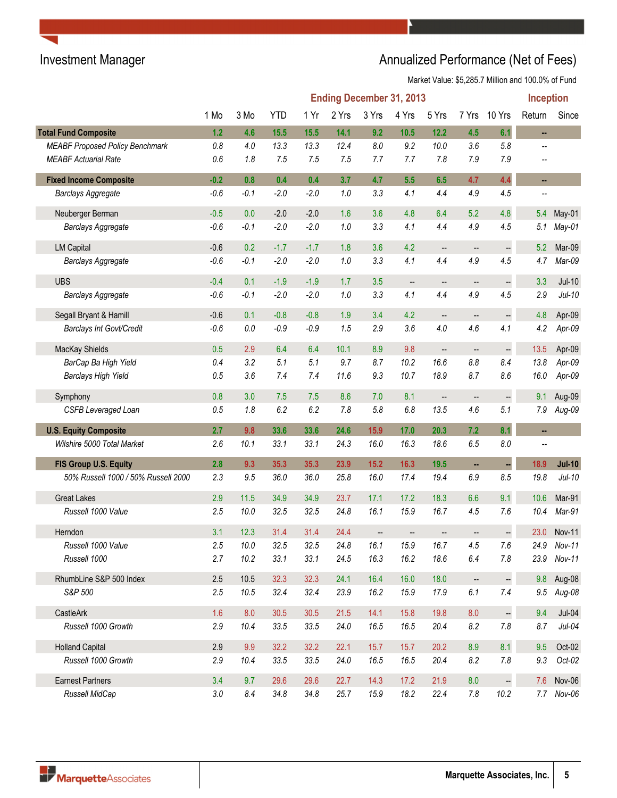# Investment Manager **Annualized Performance (Net of Fees)**

Market Value: \$5,285.7 Million and 100.0% of Fund

|                                        |        |        |            |        |       | <b>Ending December 31, 2013</b> |                          |                          |                          |                          | <b>Inception</b> |               |
|----------------------------------------|--------|--------|------------|--------|-------|---------------------------------|--------------------------|--------------------------|--------------------------|--------------------------|------------------|---------------|
|                                        | 1 Mo   | 3 Mo   | <b>YTD</b> | 1 Yr   | 2 Yrs | 3 Yrs                           | 4 Yrs                    | 5 Yrs                    | 7 Yrs                    | 10 Yrs                   | Return           | Since         |
| <b>Total Fund Composite</b>            | 1.2    | 4.6    | 15.5       | 15.5   | 14.1  | 9.2                             | 10.5                     | 12.2                     | 4.5                      | 6.1                      | ä,               |               |
| <b>MEABF Proposed Policy Benchmark</b> | 0.8    | 4.0    | 13.3       | 13.3   | 12.4  | 8.0                             | 9.2                      | 10.0                     | 3.6                      | $5.8\,$                  |                  |               |
| <b>MEABF Actuarial Rate</b>            | 0.6    | 1.8    | 7.5        | 7.5    | 7.5   | 7.7                             | 7.7                      | 7.8                      | 7.9                      | 7.9                      |                  |               |
| <b>Fixed Income Composite</b>          | $-0.2$ | 0.8    | 0.4        | 0.4    | 3.7   | 4.7                             | 5.5                      | 6.5                      | 4.7                      | 4.4                      | н,               |               |
| <b>Barclays Aggregate</b>              | $-0.6$ | $-0.1$ | $-2.0$     | $-2.0$ | 1.0   | 3.3                             | 4.1                      | 4.4                      | 4.9                      | 4.5                      |                  |               |
| Neuberger Berman                       | $-0.5$ | 0.0    | $-2.0$     | $-2.0$ | 1.6   | 3.6                             | 4.8                      | 6.4                      | 5.2                      | 4.8                      | 5.4              | May-01        |
| Barclays Aggregate                     | $-0.6$ | $-0.1$ | $-2.0$     | $-2.0$ | 1.0   | 3.3                             | 4.1                      | 4.4                      | 4.9                      | 4.5                      | 5.1              | May-01        |
| <b>LM Capital</b>                      | $-0.6$ | 0.2    | $-1.7$     | $-1.7$ | 1.8   | 3.6                             | 4.2                      | $\overline{\phantom{a}}$ | $\overline{\phantom{a}}$ |                          | 5.2              | Mar-09        |
| <b>Barclays Aggregate</b>              | $-0.6$ | $-0.1$ | $-2.0$     | $-2.0$ | 1.0   | 3.3                             | 4.1                      | 4.4                      | 4.9                      | 4.5                      | 4.7              | Mar-09        |
| <b>UBS</b>                             | $-0.4$ | 0.1    | $-1.9$     | $-1.9$ | 1.7   | 3.5                             | $\overline{\phantom{a}}$ | --                       | --                       | $\overline{\phantom{a}}$ | 3.3              | $Jul-10$      |
| <b>Barclays Aggregate</b>              | $-0.6$ | $-0.1$ | $-2.0$     | $-2.0$ | 1.0   | 3.3                             | 4.1                      | 4.4                      | 4.9                      | 4.5                      | 2.9              | $Jul-10$      |
| Segall Bryant & Hamill                 | $-0.6$ | 0.1    | $-0.8$     | $-0.8$ | 1.9   | 3.4                             | 4.2                      | $\overline{\phantom{a}}$ | --                       | $\overline{\phantom{a}}$ | 4.8              | Apr-09        |
| Barclays Int Govt/Credit               | $-0.6$ | 0.0    | $-0.9$     | $-0.9$ | 1.5   | 2.9                             | 3.6                      | 4.0                      | 4.6                      | 4.1                      | 4.2              | $Apr-09$      |
| MacKay Shields                         | 0.5    | 2.9    | 6.4        | 6.4    | 10.1  | 8.9                             | 9.8                      | --                       | --                       | $\Box$                   | 13.5             | Apr-09        |
| BarCap Ba High Yield                   | 0.4    | 3.2    | 5.1        | 5.1    | 9.7   | 8.7                             | 10.2                     | 16.6                     | 8.8                      | 8.4                      | 13.8             | Apr-09        |
| <b>Barclays High Yield</b>             | 0.5    | 3.6    | 7.4        | 7.4    | 11.6  | 9.3                             | 10.7                     | 18.9                     | 8.7                      | $8.6\,$                  | 16.0             | Apr-09        |
| Symphony                               | 0.8    | 3.0    | 7.5        | 7.5    | 8.6   | 7.0                             | 8.1                      | $\overline{\phantom{a}}$ | --                       | $\overline{\phantom{a}}$ | 9.1              | Aug-09        |
| <b>CSFB Leveraged Loan</b>             | 0.5    | 1.8    | 6.2        | 6.2    | 7.8   | 5.8                             | 6.8                      | 13.5                     | 4.6                      | 5.1                      | 7.9              | Aug-09        |
| <b>U.S. Equity Composite</b>           | 2.7    | 9.8    | 33.6       | 33.6   | 24.6  | 15.9                            | 17.0                     | 20.3                     | 7.2                      | 8.1                      |                  |               |
| Wilshire 5000 Total Market             | 2.6    | 10.1   | 33.1       | 33.1   | 24.3  | 16.0                            | 16.3                     | 18.6                     | 6.5                      | $8.0\,$                  |                  |               |
| FIS Group U.S. Equity                  | 2.8    | 9.3    | 35.3       | 35.3   | 23.9  | $15.2$                          | 16.3                     | 19.5                     | ÷,                       |                          | 18.9             | <b>Jul-10</b> |
| 50% Russell 1000 / 50% Russell 2000    | 2.3    | 9.5    | 36.0       | 36.0   | 25.8  | 16.0                            | 17.4                     | 19.4                     | 6.9                      | 8.5                      | 19.8             | $Jul-10$      |
| <b>Great Lakes</b>                     | 2.9    | 11.5   | 34.9       | 34.9   | 23.7  | 17.1                            | 17.2                     | 18.3                     | 6.6                      | 9.1                      | 10.6             | Mar-91        |
| Russell 1000 Value                     | 2.5    | 10.0   | 32.5       | 32.5   | 24.8  | 16.1                            | 15.9                     | 16.7                     | 4.5                      | $7.6\,$                  | 10.4             | Mar-91        |
| Herndon                                | 3.1    | 12.3   | 31.4       | 31.4   | 24.4  | $\overline{\phantom{a}}$        | $\overline{\phantom{a}}$ | $\overline{\phantom{a}}$ | --                       | $\overline{\phantom{a}}$ | 23.0             | Nov-11        |
| Russell 1000 Value                     | 2.5    | $10.0$ | 32.5       | 32.5   | 24.8  | 16.1                            | 15.9                     | 16.7                     | 4.5                      | 7.6                      | 24.9             | Nov-11        |
| Russell 1000                           | 2.7    | 10.2   | 33.1       | 33.1   | 24.5  | 16.3                            | 16.2                     | 18.6                     | 6.4                      | 7.8                      | 23.9             | Nov-11        |
| RhumbLine S&P 500 Index                | 2.5    | 10.5   | 32.3       | 32.3   | 24.1  | 16.4                            | 16.0                     | 18.0                     | $\frac{1}{2}$            | $\Box$                   | 9.8              | Aug-08        |
| S&P 500                                | 2.5    | 10.5   | 32.4       | 32.4   | 23.9  | 16.2                            | 15.9                     | 17.9                     | 6.1                      | 7.4                      | 9.5              | Aug-08        |
| CastleArk                              | 1.6    | 8.0    | 30.5       | 30.5   | 21.5  | 14.1                            | 15.8                     | 19.8                     | 8.0                      | $\Box$                   | 9.4              | $Jul-04$      |
| Russell 1000 Growth                    | 2.9    | 10.4   | 33.5       | 33.5   | 24.0  | 16.5                            | 16.5                     | 20.4                     | 8.2                      | $7.8\,$                  | 8.7              | $Jul-04$      |
| <b>Holland Capital</b>                 | 2.9    | 9.9    | 32.2       | 32.2   | 22.1  | 15.7                            | 15.7                     | 20.2                     | 8.9                      | 8.1                      | 9.5              | Oct-02        |
| Russell 1000 Growth                    | 2.9    | 10.4   | 33.5       | 33.5   | 24.0  | 16.5                            | 16.5                     | 20.4                     | 8.2                      | 7.8                      | 9.3              | Oct-02        |
| <b>Earnest Partners</b>                | 3.4    | 9.7    | 29.6       | 29.6   | 22.7  | 14.3                            | 17.2                     | 21.9                     | 8.0                      | $\Box$                   | 7.6              | Nov-06        |
| Russell MidCap                         | 3.0    | 8.4    | 34.8       | 34.8   | 25.7  | 15.9                            | 18.2                     | 22.4                     | 7.8                      | 10.2                     |                  | 7.7 Nov-06    |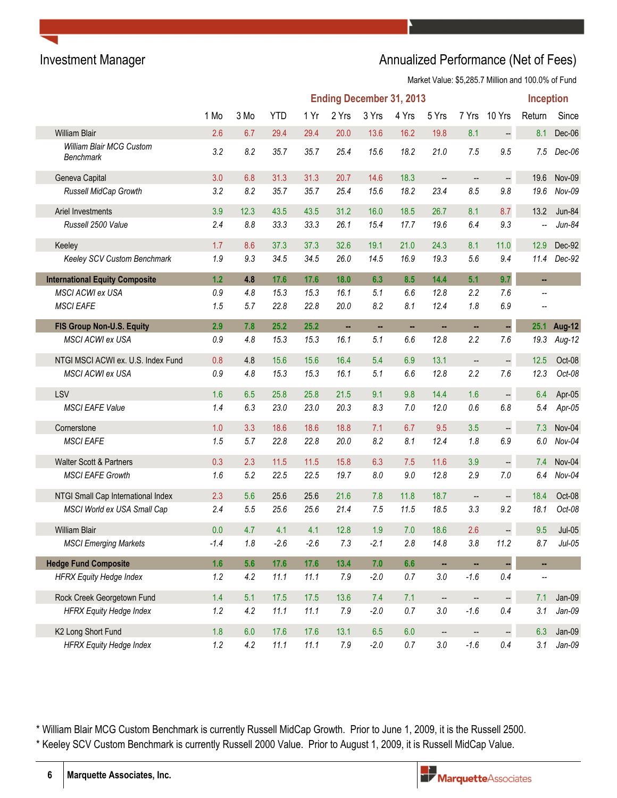### Investment Manager **Annualized Performance (Net of Fees)** Annualized Performance (Net of Fees)

Market Value: \$5,285.7 Million and 100.0% of Fund

|                                       |         |         |            |        | <b>Ending December 31, 2013</b> |        |         |                          |                          |                          | <b>Inception</b> |               |
|---------------------------------------|---------|---------|------------|--------|---------------------------------|--------|---------|--------------------------|--------------------------|--------------------------|------------------|---------------|
|                                       | 1 Mo    | 3 Mo    | <b>YTD</b> | 1 Yr   | 2 Yrs                           | 3 Yrs  | 4 Yrs   | 5 Yrs                    | 7 Yrs                    | 10 Yrs                   | Return           | Since         |
| <b>William Blair</b>                  | 2.6     | 6.7     | 29.4       | 29.4   | 20.0                            | 13.6   | 16.2    | 19.8                     | 8.1                      | $\qquad \qquad \qquad -$ | 8.1              | Dec-06        |
| William Blair MCG Custom<br>Benchmark | 3.2     | 8.2     | 35.7       | 35.7   | 25.4                            | 15.6   | 18.2    | 21.0                     | 7.5                      | 9.5                      | 7.5              | Dec-06        |
| Geneva Capital                        | 3.0     | 6.8     | 31.3       | 31.3   | 20.7                            | 14.6   | 18.3    | $\overline{\phantom{a}}$ | $\qquad \qquad -$        | -                        | 19.6             | Nov-09        |
| Russell MidCap Growth                 | 3.2     | 8.2     | 35.7       | 35.7   | 25.4                            | 15.6   | 18.2    | 23.4                     | 8.5                      | 9.8                      | 19.6             | Nov-09        |
| Ariel Investments                     | 3.9     | 12.3    | 43.5       | 43.5   | 31.2                            | 16.0   | 18.5    | 26.7                     | 8.1                      | 8.7                      | 13.2             | Jun-84        |
| Russell 2500 Value                    | 2.4     | 8.8     | 33.3       | 33.3   | 26.1                            | 15.4   | 17.7    | 19.6                     | 6.4                      | 9.3                      |                  | $Jun-84$      |
| Keeley                                | 1.7     | 8.6     | 37.3       | 37.3   | 32.6                            | 19.1   | 21.0    | 24.3                     | 8.1                      | $11.0$                   | 12.9             | Dec-92        |
| Keeley SCV Custom Benchmark           | 1.9     | 9.3     | 34.5       | 34.5   | 26.0                            | 14.5   | 16.9    | 19.3                     | 5.6                      | 9.4                      | 11.4             | Dec-92        |
| <b>International Equity Composite</b> | $1.2$   | 4.8     | 17.6       | 17.6   | 18.0                            | 6.3    | 8.5     | 14.4                     | 5.1                      | 9.7                      | н.               |               |
| MSCI ACWI ex USA                      | 0.9     | 4.8     | 15.3       | 15.3   | 16.1                            | 5.1    | 6.6     | 12.8                     | 2.2                      | 7.6                      |                  |               |
| <b>MSCI EAFE</b>                      | 1.5     | 5.7     | 22.8       | 22.8   | 20.0                            | 8.2    | 8.1     | 12.4                     | 1.8                      | 6.9                      |                  |               |
| FIS Group Non-U.S. Equity             | 2.9     | 7.8     | 25.2       | 25.2   | н,                              | н,     | ш,      | н,                       | ш,                       | ÷,                       | 25.1             | <b>Aug-12</b> |
| MSCI ACWI ex USA                      | 0.9     | 4.8     | 15.3       | 15.3   | 16.1                            | 5.1    | 6.6     | 12.8                     | 2.2                      | 7.6                      | 19.3             | Aug-12        |
| NTGI MSCI ACWI ex. U.S. Index Fund    | 0.8     | 4.8     | 15.6       | 15.6   | 16.4                            | 5.4    | 6.9     | 13.1                     | $\overline{\phantom{a}}$ | $\frac{1}{2}$            | 12.5             | Oct-08        |
| MSCI ACWI ex USA                      | 0.9     | 4.8     | 15.3       | 15.3   | 16.1                            | 5.1    | 6.6     | 12.8                     | 2.2                      | 7.6                      | 12.3             | $Oct-08$      |
| LSV                                   | 1.6     | 6.5     | 25.8       | 25.8   | 21.5                            | 9.1    | 9.8     | 14.4                     | 1.6                      | $\overline{\phantom{a}}$ | 6.4              | Apr-05        |
| <b>MSCI EAFE Value</b>                | 1.4     | 6.3     | 23.0       | 23.0   | 20.3                            | 8.3    | 7.0     | 12.0                     | 0.6                      | 6.8                      | 5.4              | Apr-05        |
| Cornerstone                           | 1.0     | 3.3     | 18.6       | 18.6   | 18.8                            | 7.1    | 6.7     | 9.5                      | 3.5                      |                          | 7.3              | Nov-04        |
| <b>MSCI EAFE</b>                      | 1.5     | 5.7     | 22.8       | 22.8   | 20.0                            | 8.2    | 8.1     | 12.4                     | 1.8                      | 6.9                      | 6.0              | $Nov-04$      |
| <b>Walter Scott &amp; Partners</b>    | 0.3     | 2.3     | 11.5       | 11.5   | 15.8                            | 6.3    | 7.5     | 11.6                     | 3.9                      | $\ddot{\phantom{1}}$     | 7.4              | Nov-04        |
| <b>MSCI EAFE Growth</b>               | 1.6     | 5.2     | 22.5       | 22.5   | 19.7                            | 8.0    | 9.0     | 12.8                     | 2.9                      | 7.0                      | 6.4              | Nov-04        |
| NTGI Small Cap International Index    | 2.3     | 5.6     | 25.6       | 25.6   | 21.6                            | 7.8    | 11.8    | 18.7                     | $\overline{\phantom{a}}$ | --                       | 18.4             | Oct-08        |
| MSCI World ex USA Small Cap           | 2.4     | 5.5     | 25.6       | 25.6   | 21.4                            | 7.5    | 11.5    | 18.5                     | 3.3                      | 9.2                      | 18.1             | Oct-08        |
| <b>William Blair</b>                  | 0.0     | 4.7     | 4.1        | 4.1    | 12.8                            | 1.9    | 7.0     | 18.6                     | 2.6                      | $\overline{\phantom{a}}$ | 9.5              | $Jul-05$      |
| <b>MSCI Emerging Markets</b>          | $-1.4$  | $1.8\,$ | $-2.6$     | $-2.6$ | 7.3                             | $-2.1$ | $2.8$   | 14.8                     | $3.8\,$                  | 11.2                     | 8.7              | $Jul-05$      |
| <b>Hedge Fund Composite</b>           | 1.6     | 5.6     | 17.6       | 17.6   | 13.4                            | 7.0    | 6.6     | ä,                       | ä,                       | u,                       | ш,               |               |
| <b>HFRX Equity Hedge Index</b>        | 1.2     | 4.2     | 11.1       | 11.1   | 7.9                             | $-2.0$ | $0.7\,$ | $3.0\,$                  | $-1.6$                   | 0.4                      | --               |               |
| Rock Creek Georgetown Fund            | 1.4     | 5.1     | 17.5       | 17.5   | 13.6                            | 7.4    | 7.1     | $\overline{\phantom{a}}$ | $\frac{1}{2}$            |                          | 7.1              | $Jan-09$      |
| <b>HFRX Equity Hedge Index</b>        | 1.2     | 4.2     | 11.1       | 11.1   | $7.9$                           | $-2.0$ | $0.7\,$ | $3.0\,$                  | $-1.6$                   | 0.4                      | 3.1              | $Jan-09$      |
| K2 Long Short Fund                    | 1.8     | 6.0     | 17.6       | 17.6   | 13.1                            | 6.5    | 6.0     | $\overline{\phantom{a}}$ | $\overline{\phantom{a}}$ | $\mathbb{H}$             | 6.3              | $Jan-09$      |
| <b>HFRX Equity Hedge Index</b>        | $1.2\,$ | $4.2\,$ | 11.1       | 11.1   | $7.9$                           | $-2.0$ | $0.7\,$ | $3.0\,$                  | $-1.6$                   | $0.4\,$                  | 3.1              | Jan-09        |

\* William Blair MCG Custom Benchmark is currently Russell MidCap Growth. Prior to June 1, 2009, it is the Russell 2500. \* Keeley SCV Custom Benchmark is currently Russell 2000 Value. Prior to August 1, 2009, it is Russell MidCap Value.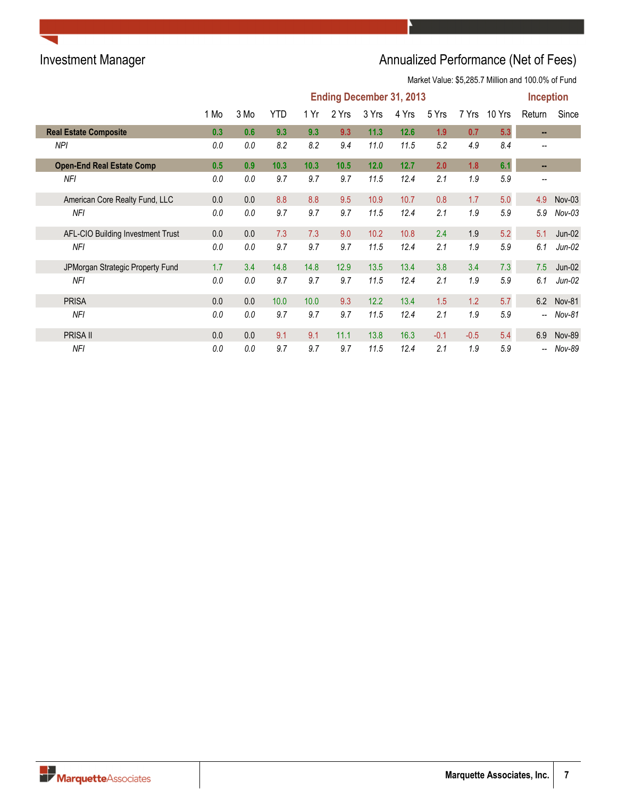# Investment Manager **Annualized Performance (Net of Fees)**

Market Value: \$5,285.7 Million and 100.0% of Fund

|                                   | <b>Ending December 31, 2013</b> |      |            |      |       |       |       |        |        | <b>Inception</b> |        |               |
|-----------------------------------|---------------------------------|------|------------|------|-------|-------|-------|--------|--------|------------------|--------|---------------|
|                                   | 1 Mo                            | 3 Mo | <b>YTD</b> | 1 Yr | 2 Yrs | 3 Yrs | 4 Yrs | 5 Yrs  | 7 Yrs  | 10 Yrs           | Return | Since         |
| <b>Real Estate Composite</b>      | 0.3                             | 0.6  | 9.3        | 9.3  | 9.3   | 11.3  | 12.6  | 1.9    | 0.7    | 5.3              | $\sim$ |               |
| NPI                               | 0.0                             | 0.0  | 8.2        | 8.2  | 9.4   | 11.0  | 11.5  | 5.2    | 4.9    | 8.4              |        |               |
| <b>Open-End Real Estate Comp</b>  | 0.5                             | 0.9  | 10.3       | 10.3 | 10.5  | 12.0  | 12.7  | 2.0    | 1.8    | 6.1              | н.     |               |
| NFI                               | 0.0                             | 0.0  | 9.7        | 9.7  | 9.7   | 11.5  | 12.4  | 2.1    | 1.9    | 5.9              | --     |               |
| American Core Realty Fund, LLC    | 0.0                             | 0.0  | 8.8        | 8.8  | 9.5   | 10.9  | 10.7  | 0.8    | 1.7    | 5.0              | 4.9    | $Nov-03$      |
| NFI                               | 0.0                             | 0.0  | 9.7        | 9.7  | 9.7   | 11.5  | 12.4  | 2.1    | 1.9    | 5.9              | 5.9    | $Nov-03$      |
| AFL-CIO Building Investment Trust | 0.0                             | 0.0  | 7.3        | 7.3  | 9.0   | 10.2  | 10.8  | 2.4    | 1.9    | 5.2              | 5.1    | $Jun-02$      |
| NFI                               | 0.0                             | 0.0  | 9.7        | 9.7  | 9.7   | 11.5  | 12.4  | 2.1    | 1.9    | 5.9              | 6.1    | $Jun-02$      |
| JPMorgan Strategic Property Fund  | 1.7                             | 3.4  | 14.8       | 14.8 | 12.9  | 13.5  | 13.4  | 3.8    | 3.4    | 7.3              | 7.5    | $Jun-02$      |
| NFI                               | 0.0                             | 0.0  | 9.7        | 9.7  | 9.7   | 11.5  | 12.4  | 2.1    | 1.9    | 5.9              | 6.1    | $Jun-02$      |
| <b>PRISA</b>                      | 0.0                             | 0.0  | 10.0       | 10.0 | 9.3   | 12.2  | 13.4  | 1.5    | 1.2    | 5.7              | 6.2    | <b>Nov-81</b> |
| NFI                               | 0.0                             | 0.0  | 9.7        | 9.7  | 9.7   | 11.5  | 12.4  | 2.1    | 1.9    | 5.9              | --     | Nov-81        |
| <b>PRISA II</b>                   | 0.0                             | 0.0  | 9.1        | 9.1  | 11.1  | 13.8  | 16.3  | $-0.1$ | $-0.5$ | 5.4              | 6.9    | <b>Nov-89</b> |
| NFI                               | 0.0                             | 0.0  | 9.7        | 9.7  | 9.7   | 11.5  | 12.4  | 2.1    | 1.9    | 5.9              | --     | Nov-89        |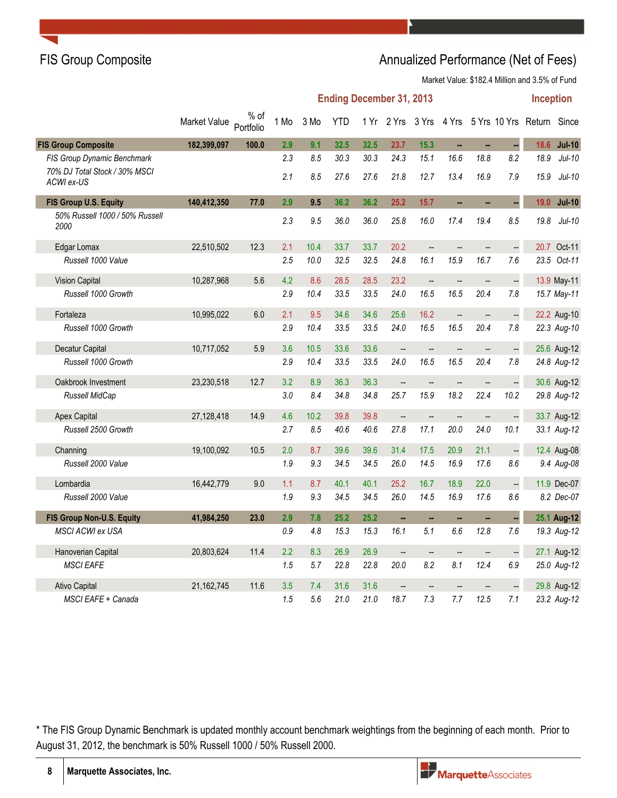### FIS Group Composite **Annualized Performance (Net of Fees)** Annualized Performance (Net of Fees)

Market Value: \$182.4 Million and 3.5% of Fund

|                                             |              |                   |      |      | <b>Ending December 31, 2013</b> |      |                          |                          |                          |                          |                          | <b>Inception</b>                                 |               |
|---------------------------------------------|--------------|-------------------|------|------|---------------------------------|------|--------------------------|--------------------------|--------------------------|--------------------------|--------------------------|--------------------------------------------------|---------------|
|                                             | Market Value | % of<br>Portfolio | 1 Mo | 3 Mo | <b>YTD</b>                      |      |                          |                          |                          |                          |                          | 1 Yr 2 Yrs 3 Yrs 4 Yrs 5 Yrs 10 Yrs Return Since |               |
| <b>FIS Group Composite</b>                  | 182,399,097  | 100.0             | 2.9  | 9.1  | 32.5                            | 32.5 | 23.7                     | 15.3                     | ä,                       | ä.                       | ÷,                       | 18.6                                             | <b>Jul-10</b> |
| FIS Group Dynamic Benchmark                 |              |                   | 2.3  | 8.5  | 30.3                            | 30.3 | 24.3                     | 15.1                     | 16.6                     | 18.8                     | 8.2                      | 18.9                                             | $Jul-10$      |
| 70% DJ Total Stock / 30% MSCI<br>ACWI ex-US |              |                   | 2.1  | 8.5  | 27.6                            | 27.6 | 21.8                     | 12.7                     | 13.4                     | 16.9                     | 7.9                      | 15.9                                             | $Jul-10$      |
| FIS Group U.S. Equity                       | 140,412,350  | 77.0              | 2.9  | 9.5  | 36.2                            | 36.2 | 25.2                     | 15.7                     | ä,                       | ш,                       | u,                       | 19.0                                             | <b>Jul-10</b> |
| 50% Russell 1000 / 50% Russell<br>2000      |              |                   | 2.3  | 9.5  | 36.0                            | 36.0 | 25.8                     | 16.0                     | 17.4                     | 19.4                     | 8.5                      | 19.8                                             | $Jul-10$      |
| Edgar Lomax                                 | 22,510,502   | 12.3              | 2.1  | 10.4 | 33.7                            | 33.7 | 20.2                     | $\overline{\phantom{a}}$ |                          |                          | $\overline{\phantom{a}}$ |                                                  | 20.7 Oct-11   |
| Russell 1000 Value                          |              |                   | 2.5  | 10.0 | 32.5                            | 32.5 | 24.8                     | 16.1                     | 15.9                     | 16.7                     | 7.6                      |                                                  | 23.5 Oct-11   |
| <b>Vision Capital</b>                       | 10,287,968   | 5.6               | 4.2  | 8.6  | 28.5                            | 28.5 | 23.2                     | $\overline{\phantom{a}}$ | --                       | --                       | $\Box$                   |                                                  | 13.9 May-11   |
| Russell 1000 Growth                         |              |                   | 2.9  | 10.4 | 33.5                            | 33.5 | 24.0                     | 16.5                     | 16.5                     | 20.4                     | 7.8                      |                                                  | 15.7 May-11   |
| Fortaleza                                   | 10,995,022   | 6.0               | 2.1  | 9.5  | 34.6                            | 34.6 | 25.6                     | 16.2                     | $\overline{\phantom{a}}$ | $\overline{\phantom{a}}$ | $\ddot{\phantom{0}}$     |                                                  | 22.2 Aug-10   |
| Russell 1000 Growth                         |              |                   | 2.9  | 10.4 | 33.5                            | 33.5 | 24.0                     | 16.5                     | 16.5                     | 20.4                     | 7.8                      |                                                  | 22.3 Aug-10   |
| Decatur Capital                             | 10,717,052   | 5.9               | 3.6  | 10.5 | 33.6                            | 33.6 | $\overline{\phantom{a}}$ | $\overline{\phantom{a}}$ | ÷,                       | $\overline{\phantom{a}}$ | $\ddot{\phantom{0}}$     |                                                  | 25.6 Aug-12   |
| Russell 1000 Growth                         |              |                   | 2.9  | 10.4 | 33.5                            | 33.5 | 24.0                     | 16.5                     | 16.5                     | 20.4                     | 7.8                      |                                                  | 24.8 Aug-12   |
| Oakbrook Investment                         | 23,230,518   | 12.7              | 3.2  | 8.9  | 36.3                            | 36.3 | $\overline{\phantom{a}}$ | $\overline{\phantom{a}}$ | $\overline{a}$           | $\overline{\phantom{a}}$ |                          |                                                  | 30.6 Aug-12   |
| Russell MidCap                              |              |                   | 3.0  | 8.4  | 34.8                            | 34.8 | 25.7                     | 15.9                     | 18.2                     | 22.4                     | 10.2                     |                                                  | 29.8 Aug-12   |
| <b>Apex Capital</b>                         | 27,128,418   | 14.9              | 4.6  | 10.2 | 39.8                            | 39.8 | --                       | $\overline{\phantom{a}}$ | $\overline{\phantom{a}}$ | --                       | $\frac{1}{2}$            |                                                  | 33.7 Aug-12   |
| Russell 2500 Growth                         |              |                   | 2.7  | 8.5  | 40.6                            | 40.6 | 27.8                     | 17.1                     | 20.0                     | 24.0                     | 10.1                     |                                                  | 33.1 Aug-12   |
| Channing                                    | 19,100,092   | 10.5              | 2.0  | 8.7  | 39.6                            | 39.6 | 31.4                     | 17.5                     | 20.9                     | 21.1                     | $\frac{1}{2}$            |                                                  | 12.4 Aug-08   |
| Russell 2000 Value                          |              |                   | 1.9  | 9.3  | 34.5                            | 34.5 | 26.0                     | 14.5                     | 16.9                     | 17.6                     | 8.6                      |                                                  | 9.4 Aug-08    |
| Lombardia                                   | 16,442,779   | 9.0               | 1.1  | 8.7  | 40.1                            | 40.1 | 25.2                     | 16.7                     | 18.9                     | 22.0                     | $\frac{1}{2}$            |                                                  | 11.9 Dec-07   |
| Russell 2000 Value                          |              |                   | 1.9  | 9.3  | 34.5                            | 34.5 | 26.0                     | 14.5                     | 16.9                     | 17.6                     | 8.6                      |                                                  | 8.2 Dec-07    |
| FIS Group Non-U.S. Equity                   | 41,984,250   | 23.0              | 2.9  | 7.8  | 25.2                            | 25.2 | u,                       | ц.                       | ш,                       | ш,                       |                          |                                                  | 25.1 Aug-12   |
| <b>MSCI ACWI ex USA</b>                     |              |                   | 0.9  | 4.8  | 15.3                            | 15.3 | 16.1                     | 5.1                      | 6.6                      | 12.8                     | 7.6                      |                                                  | 19.3 Aug-12   |
| Hanoverian Capital                          | 20,803,624   | 11.4              | 2.2  | 8.3  | 26.9                            | 26.9 | $\overline{\phantom{a}}$ | $\overline{\phantom{a}}$ | $\overline{\phantom{a}}$ | $\overline{\phantom{a}}$ | $\ddot{\phantom{0}}$     |                                                  | 27.1 Aug-12   |
| <b>MSCI EAFE</b>                            |              |                   | 1.5  | 5.7  | 22.8                            | 22.8 | 20.0                     | 8.2                      | 8.1                      | 12.4                     | 6.9                      |                                                  | 25.0 Aug-12   |
| Ativo Capital                               | 21,162,745   | 11.6              | 3.5  | 7.4  | 31.6                            | 31.6 | $\overline{\phantom{a}}$ | $\overline{a}$           | $\overline{a}$           |                          |                          |                                                  | 29.8 Aug-12   |
| MSCI EAFE + Canada                          |              |                   | 1.5  | 5.6  | 21.0                            | 21.0 | 18.7                     | 7.3                      | 7.7                      | 12.5                     | 7.1                      |                                                  | 23.2 Aug-12   |

\* The FIS Group Dynamic Benchmark is updated monthly account benchmark weightings from the beginning of each month. Prior to August 31, 2012, the benchmark is 50% Russell 1000 / 50% Russell 2000.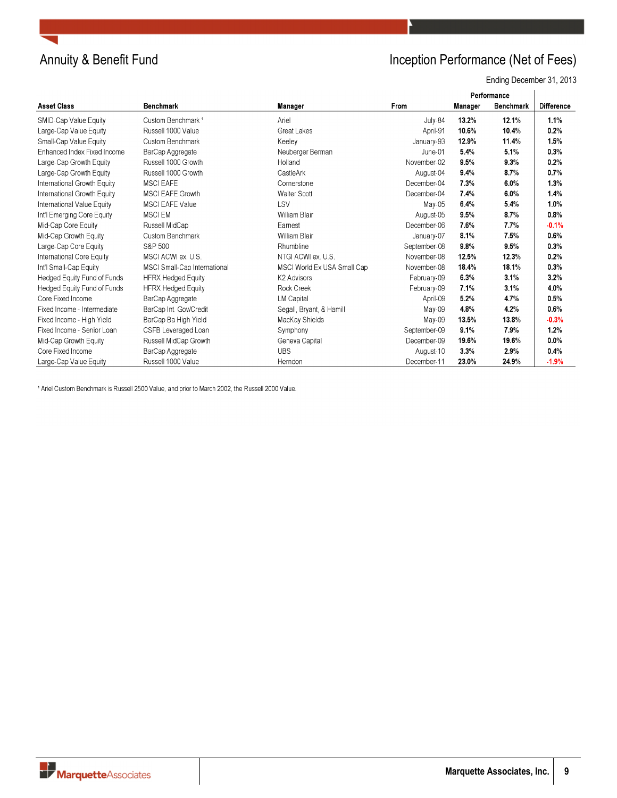

## Annuity & Benefit Fund **Inception Performance (Net of Fees)**

Ending December 31, 2013

|                                    |                               |                             |              |                | Performance |                   |
|------------------------------------|-------------------------------|-----------------------------|--------------|----------------|-------------|-------------------|
| <b>Asset Class</b>                 | <b>Benchmark</b>              | Manager                     | From         | <b>Manager</b> | Benchmark   | <b>Difference</b> |
| SMID-Cap Value Equity              | Custom Benchmark <sup>1</sup> | Ariel                       | July-84      | 13.2%          | 12.1%       | 1.1%              |
| Large-Cap Value Equity             | Russell 1000 Value            | <b>Great Lakes</b>          | April-91     | 10.6%          | 10.4%       | 0.2%              |
| Small-Cap Value Equity             | Custom Benchmark              | Keeley                      | January-93   | 12.9%          | 11.4%       | 1.5%              |
| Enhanced Index Fixed Income        | BarCap Aggregate              | Neuberger Berman            | June-01      | 5.4%           | 5.1%        | 0.3%              |
| Large-Cap Growth Equity            | Russell 1000 Growth           | Holland                     | November-02  | 9.5%           | 9.3%        | 0.2%              |
| Large-Cap Growth Equity            | Russell 1000 Growth           | CastleArk                   | August-04    | 9.4%           | 8.7%        | 0.7%              |
| International Growth Equity        | <b>MSCI EAFE</b>              | Cornerstone                 | December-04  | 7.3%           | 6.0%        | 1.3%              |
| International Growth Equity        | <b>MSCI EAFE Growth</b>       | <b>Walter Scott</b>         | December-04  | 7.4%           | 6.0%        | 1.4%              |
| International Value Equity         | <b>MSCI EAFE Value</b>        | LSV                         | May-05       | 6.4%           | 5.4%        | 1.0%              |
| Int'l Emerging Core Equity         | <b>MSCIEM</b>                 | William Blair               | August-05    | 9.5%           | 8.7%        | 0.8%              |
| Mid-Cap Core Equity                | Russell MidCap                | Earnest                     | December-06  | 7.6%           | 7.7%        | $-0.1%$           |
| Mid-Cap Growth Equity              | Custom Benchmark              | William Blair               | January-07   | 8.1%           | 7.5%        | 0.6%              |
| Large-Cap Core Equity              | S&P 500                       | Rhumbline                   | September-08 | 9.8%           | 9.5%        | 0.3%              |
| International Core Equity          | MSCI ACWI ex. U.S.            | NTGI ACWI ex. U.S.          | November-08  | 12.5%          | 12.3%       | 0.2%              |
| Int'l Small-Cap Equity             | MSCI Small-Cap International  | MSCI World Ex USA Small Cap | November-08  | 18.4%          | 18.1%       | 0.3%              |
| Hedged Equity Fund of Funds        | <b>HFRX Hedged Equity</b>     | K <sub>2</sub> Advisors     | February-09  | 6.3%           | 3.1%        | 3.2%              |
| <b>Hedged Equity Fund of Funds</b> | <b>HFRX Hedged Equity</b>     | Rock Creek                  | February-09  | 7.1%           | 3.1%        | 4.0%              |
| Core Fixed Income                  | BarCap Aggregate              | <b>LM Capital</b>           | April-09     | 5.2%           | 4.7%        | 0.5%              |
| Fixed Income - Intermediate        | BarCap Int. Gov/Credit        | Segall, Bryant, & Hamill    | May-09       | 4.8%           | 4.2%        | 0.6%              |
| Fixed Income - High Yield          | BarCap Ba High Yield          | MacKay Shields              | May-09       | 13.5%          | 13.8%       | $-0.3%$           |
| Fixed Income - Senior Loan         | CSFB Leveraged Loan           | Symphony                    | September-09 | 9.1%           | 7.9%        | 1.2%              |
| Mid-Cap Growth Equity              | Russell MidCap Growth         | Geneva Capital              | December-09  | 19.6%          | 19.6%       | $0.0\%$           |
| Core Fixed Income                  | BarCap Aggregate              | <b>UBS</b>                  | August-10    | 3.3%           | 2.9%        | 0.4%              |
| Large-Cap Value Equity             | Russell 1000 Value            | Herndon                     | December-11  | 23.0%          | 24.9%       | $-1.9%$           |

<sup>1</sup> Ariel Custom Benchmark is Russell 2500 Value, and prior to March 2002, the Russell 2000 Value.